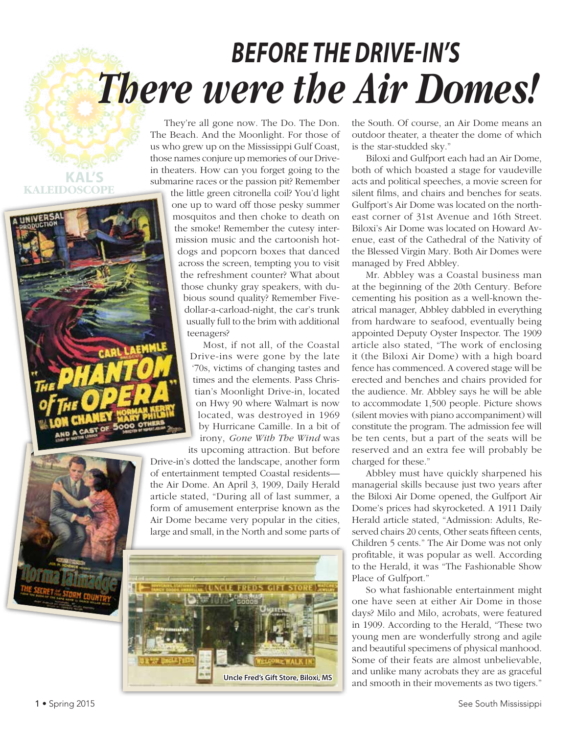## *There were the Air Domes! BEFORE THE DRIVE-IN'S*

They're all gone now. The Do. The Don. The Beach. And the Moonlight. For those of us who grew up on the Mississippi Gulf Coast, those names conjure up memories of our Drivein theaters. How can you forget going to the submarine races or the passion pit? Remember

the little green citronella coil? You'd light one up to ward off those pesky summer mosquitos and then choke to death on the smoke! Remember the cutesy intermission music and the cartoonish hotdogs and popcorn boxes that danced across the screen, tempting you to visit the refreshment counter? What about those chunky gray speakers, with dubious sound quality? Remember Fivedollar-a-carload-night, the car's trunk usually full to the brim with additional teenagers?

Most, if not all, of the Coastal Drive-ins were gone by the late '70s, victims of changing tastes and times and the elements. Pass Christian's Moonlight Drive-in, located on Hwy 90 where Walmart is now located, was destroyed in 1969 by Hurricane Camille. In a bit of irony, *Gone With The Wind* was its upcoming attraction. But before

Drive-in's dotted the landscape, another form of entertainment tempted Coastal residents the Air Dome. An April 3, 1909, Daily Herald article stated, "During all of last summer, a form of amusement enterprise known as the Air Dome became very popular in the cities, large and small, in the North and some parts of



the South. Of course, an Air Dome means an outdoor theater, a theater the dome of which is the star-studded sky."

Biloxi and Gulfport each had an Air Dome, both of which boasted a stage for vaudeville acts and political speeches, a movie screen for silent films, and chairs and benches for seats. Gulfport's Air Dome was located on the northeast corner of 31st Avenue and 16th Street. Biloxi's Air Dome was located on Howard Avenue, east of the Cathedral of the Nativity of the Blessed Virgin Mary. Both Air Domes were managed by Fred Abbley.

Mr. Abbley was a Coastal business man at the beginning of the 20th Century. Before cementing his position as a well-known theatrical manager, Abbley dabbled in everything from hardware to seafood, eventually being appointed Deputy Oyster Inspector. The 1909 article also stated, "The work of enclosing it (the Biloxi Air Dome) with a high board fence has commenced. A covered stage will be erected and benches and chairs provided for the audience. Mr. Abbley says he will be able to accommodate 1,500 people. Picture shows (silent movies with piano accompaniment) will constitute the program. The admission fee will be ten cents, but a part of the seats will be reserved and an extra fee will probably be charged for these."

Abbley must have quickly sharpened his managerial skills because just two years after the Biloxi Air Dome opened, the Gulfport Air Dome's prices had skyrocketed. A 1911 Daily Herald article stated, "Admission: Adults, Reserved chairs 20 cents, Other seats fifteen cents, Children 5 cents." The Air Dome was not only profitable, it was popular as well. According to the Herald, it was "The Fashionable Show Place of Gulfport."

So what fashionable entertainment might one have seen at either Air Dome in those days? Milo and Milo, acrobats, were featured in 1909. According to the Herald, "These two young men are wonderfully strong and agile and beautiful specimens of physical manhood. Some of their feats are almost unbelievable, and unlike many acrobats they are as graceful and smooth in their movements as two tigers."

**KAL'S**

**KALEIDOSCOPE**